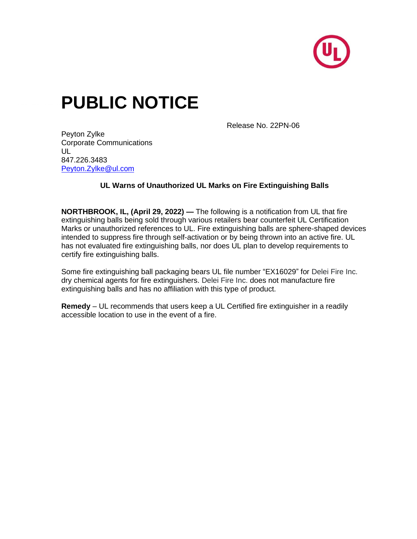

## **PUBLIC NOTICE**

Release No. 22PN-06

Peyton Zylke Corporate Communications  $\mathsf{U}$ 847.226.3483 [Peyton.Zylke@ul.com](mailto:Peyton.Zylke@ul.com)

## **UL Warns of Unauthorized UL Marks on Fire Extinguishing Balls**

**NORTHBROOK, IL, (April 29, 2022) —** The following is a notification from UL that fire extinguishing balls being sold through various retailers bear counterfeit UL Certification Marks or unauthorized references to UL. Fire extinguishing balls are sphere-shaped devices intended to suppress fire through self-activation or by being thrown into an active fire. UL has not evaluated fire extinguishing balls, nor does UL plan to develop requirements to certify fire extinguishing balls.

Some fire extinguishing ball packaging bears UL file number "EX16029" for Delei Fire Inc. dry chemical agents for fire extinguishers. Delei Fire Inc. does not manufacture fire extinguishing balls and has no affiliation with this type of product.

**Remedy** – UL recommends that users keep a UL Certified fire extinguisher in a readily accessible location to use in the event of a fire.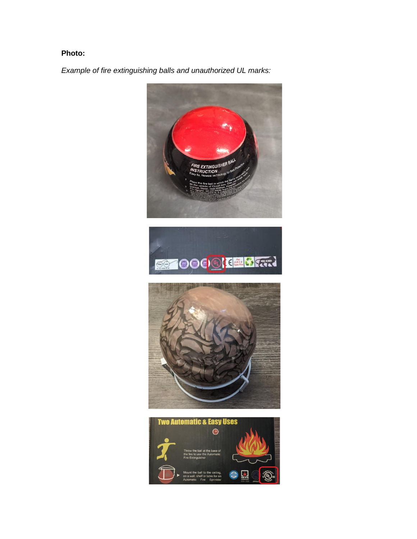## **Photo:**

*Example of fire extinguishing balls and unauthorized UL marks:*